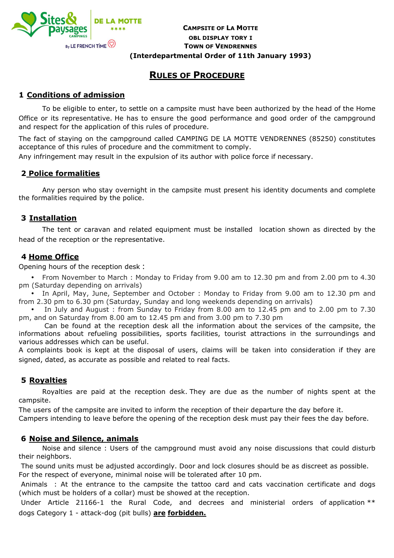

# **CAMPSITE OF LA MOTTE**<br> **CAMPSITE OF LA MOTTE OBL DISPLAY TORY I TOWN OF VENDRENNES (Interdepartmental Order of 11th January 1993)**

# **RULES OF PROCEDURE**

## **1 Conditions of admission**

To be eligible to enter, to settle on a campsite must have been authorized by the head of the Home Office or its representative. He has to ensure the good performance and good order of the campground and respect for the application of this rules of procedure.

The fact of staying on the campground called CAMPING DE LA MOTTE VENDRENNES (85250) constitutes acceptance of this rules of procedure and the commitment to comply.

Any infringement may result in the expulsion of its author with police force if necessary.

## **2 Police formalities**

Any person who stay overnight in the campsite must present his identity documents and complete the formalities required by the police.

## **3 Installation**

The tent or caravan and related equipment must be installed location shown as directed by the head of the reception or the representative.

#### **4 Home Office**

Opening hours of the reception desk :

• From November to March : Monday to Friday from 9.00 am to 12.30 pm and from 2.00 pm to 4.30 pm (Saturday depending on arrivals)

• In April, May, June, September and October : Monday to Friday from 9.00 am to 12.30 pm and from 2.30 pm to 6.30 pm (Saturday, Sunday and long weekends depending on arrivals)

• In July and August : from Sunday to Friday from 8.00 am to 12.45 pm and to 2.00 pm to 7.30 pm, and on Saturday from 8.00 am to 12.45 pm and from 3.00 pm to 7.30 pm

 Can be found at the reception desk all the information about the services of the campsite, the informations about refueling possibilities, sports facilities, tourist attractions in the surroundings and various addresses which can be useful.

A complaints book is kept at the disposal of users, claims will be taken into consideration if they are signed, dated, as accurate as possible and related to real facts.

## **5 Royalties**

Royalties are paid at the reception desk. They are due as the number of nights spent at the campsite.

The users of the campsite are invited to inform the reception of their departure the day before it.

Campers intending to leave before the opening of the reception desk must pay their fees the day before.

#### **6 Noise and Silence, animals**

Noise and silence : Users of the campground must avoid any noise discussions that could disturb their neighbors.

 The sound units must be adjusted accordingly. Door and lock closures should be as discreet as possible. For the respect of everyone, minimal noise will be tolerated after 10 pm.

 Animals : At the entrance to the campsite the tattoo card and cats vaccination certificate and dogs (which must be holders of a collar) must be showed at the reception.

Under Article 21166-1 the Rural Code, and decrees and ministerial orders of application \*\* dogs Category 1 - attack-dog (pit bulls) **are forbidden.**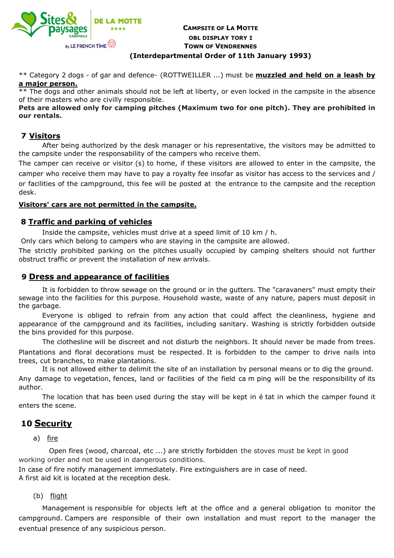

# **CAMPSITE OF LA MOTTE**<br> **CAMPSITE OF LA MOTTE OBL DISPLAY TORY I TOWN OF VENDRENNES (Interdepartmental Order of 11th January 1993)**

\*\* Category 2 dogs - of gar and defence- (ROTTWEILLER ...) must be **muzzled and held on a leash by a major person.**

\*\* The dogs and other animals should not be left at liberty, or even locked in the campsite in the absence of their masters who are civilly responsible.

**Pets are allowed only for camping pitches (Maximum two for one pitch). They are prohibited in our rentals.**

## **7 Visitors**

After being authorized by the desk manager or his representative, the visitors may be admitted to the campsite under the responsability of the campers who receive them.

The camper can receive or visitor (s) to home, if these visitors are allowed to enter in the campsite, the camper who receive them may have to pay a royalty fee insofar as visitor has access to the services and / or facilities of the campground, this fee will be posted at the entrance to the campsite and the reception desk.

#### **Visitors' cars are not permitted in the campsite.**

#### **8 Traffic and parking of vehicles**

Inside the campsite, vehicles must drive at a speed limit of 10 km / h.

Only cars which belong to campers who are staying in the campsite are allowed.

The strictly prohibited parking on the pitches usually occupied by camping shelters should not further obstruct traffic or prevent the installation of new arrivals.

#### **9 Dress and appearance of facilities**

It is forbidden to throw sewage on the ground or in the gutters. The "caravaners" must empty their sewage into the facilities for this purpose. Household waste, waste of any nature, papers must deposit in the garbage.

 Everyone is obliged to refrain from any action that could affect the cleanliness, hygiene and appearance of the campground and its facilities, including sanitary. Washing is strictly forbidden outside the bins provided for this purpose.

 The clothesline will be discreet and not disturb the neighbors. It should never be made from trees. Plantations and floral decorations must be respected. It is forbidden to the camper to drive nails into trees, cut branches, to make plantations.

 It is not allowed either to delimit the site of an installation by personal means or to dig the ground. Any damage to vegetation, fences, land or facilities of the field ca m ping will be the responsibility of its author.

 The location that has been used during the stay will be kept in é tat in which the camper found it enters the scene.

# **10 Security**

a) fire

 Open fires (wood, charcoal, etc ...) are strictly forbidden the stoves must be kept in good working order and not be used in dangerous conditions.

 In case of fire notify management immediately. Fire extinguishers are in case of need. A first aid kit is located at the reception desk.

(b) flight

 Management is responsible for objects left at the office and a general obligation to monitor the campground. Campers are responsible of their own installation and must report to the manager the eventual presence of any suspicious person.